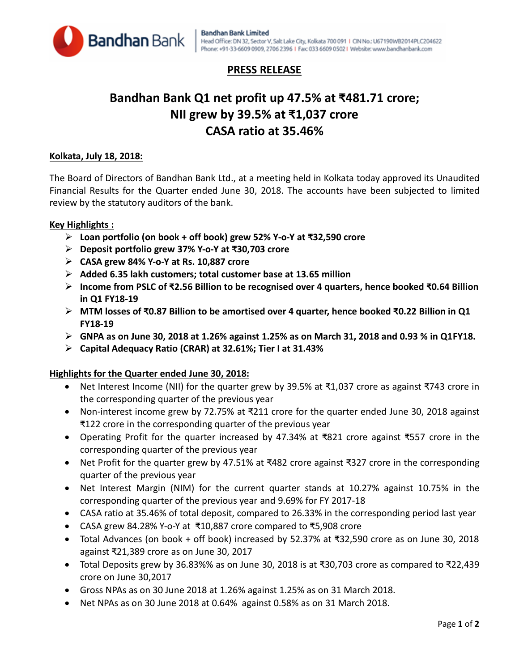

# **PRESS RELEASE**

# **Bandhan Bank Q1 net profit up 47.5% at ₹481.71 crore; NII grew by 39.5% at ₹1,037 crore CASA ratio at 35.46%**

# **Kolkata, July 18, 2018:**

The Board of Directors of Bandhan Bank Ltd., at a meeting held in Kolkata today approved its Unaudited Financial Results for the Quarter ended June 30, 2018. The accounts have been subjected to limited review by the statutory auditors of the bank.

## **Key Highlights :**

- **Loan portfolio (on book + off book) grew 52% Y-o-Y at ₹32,590 crore**
- **Deposit portfolio grew 37% Y-o-Y at ₹30,703 crore**
- **CASA grew 84% Y-o-Y at Rs. 10,887 crore**
- **Added 6.35 lakh customers; total customer base at 13.65 million**
- **Income from PSLC of ₹2.56 Billion to be recognised over 4 quarters, hence booked ₹0.64 Billion in Q1 FY18-19**
- **MTM losses of ₹0.87 Billion to be amortised over 4 quarter, hence booked ₹0.22 Billion in Q1 FY18-19**
- **GNPA as on June 30, 2018 at 1.26% against 1.25% as on March 31, 2018 and 0.93 % in Q1FY18.**
- **Capital Adequacy Ratio (CRAR) at 32.61%; Tier I at 31.43%**

### **Highlights for the Quarter ended June 30, 2018:**

- Net Interest Income (NII) for the quarter grew by 39.5% at ₹1,037 crore as against ₹743 crore in the corresponding quarter of the previous year
- Non-interest income grew by 72.75% at ₹211 crore for the quarter ended June 30, 2018 against ₹122 crore in the corresponding quarter of the previous year
- Operating Profit for the quarter increased by 47.34% at ₹821 crore against ₹557 crore in the corresponding quarter of the previous year
- Net Profit for the quarter grew by 47.51% at ₹482 crore against ₹327 crore in the corresponding quarter of the previous year
- Net Interest Margin (NIM) for the current quarter stands at 10.27% against 10.75% in the corresponding quarter of the previous year and 9.69% for FY 2017-18
- CASA ratio at 35.46% of total deposit, compared to 26.33% in the corresponding period last year
- CASA grew 84.28% Y-o-Y at ₹10,887 crore compared to ₹5,908 crore
- Total Advances (on book + off book) increased by 52.37% at ₹32,590 crore as on June 30, 2018 against ₹21,389 crore as on June 30, 2017
- Total Deposits grew by 36.83%% as on June 30, 2018 is at ₹30,703 crore as compared to ₹22,439 crore on June 30,2017
- Gross NPAs as on 30 June 2018 at 1.26% against 1.25% as on 31 March 2018.
- Net NPAs as on 30 June 2018 at 0.64% against 0.58% as on 31 March 2018.